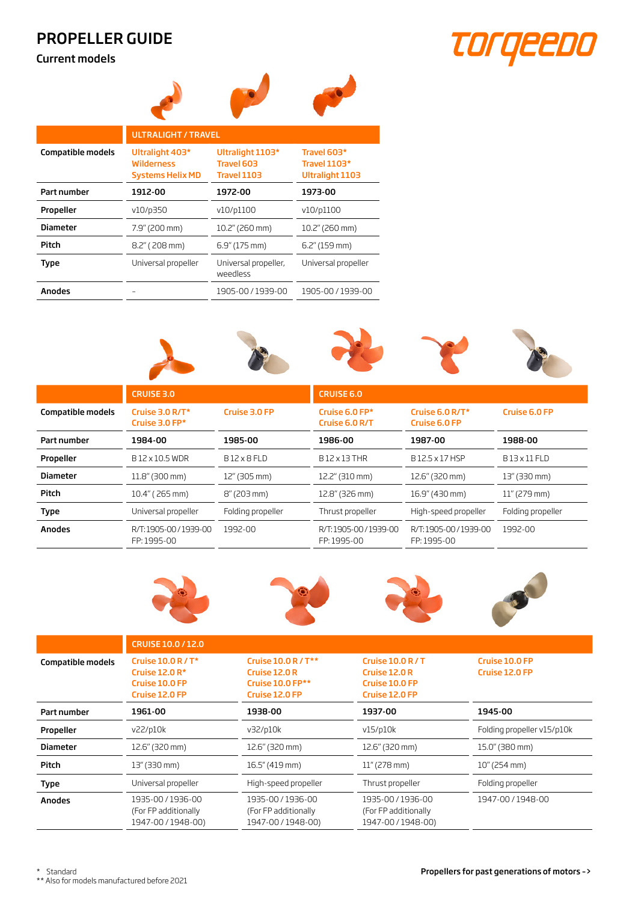## PROPELLER GUIDE

Current models



|                          | <b>ULTRALIGHT / TRAVEL</b>                                      |                                                      |                                                |  |  |
|--------------------------|-----------------------------------------------------------------|------------------------------------------------------|------------------------------------------------|--|--|
| <b>Compatible models</b> | Ultralight 403*<br><b>Wilderness</b><br><b>Systems Helix MD</b> | Ultralight 1103*<br>Travel 603<br><b>Travel 1103</b> | Travel 603*<br>Travel 1103*<br>Ultralight 1103 |  |  |
| Part number              | 1912-00                                                         | 1972-00                                              | 1973-00                                        |  |  |
| Propeller                | v10/p350                                                        | v10/p1100                                            | v10/p1100                                      |  |  |
| <b>Diameter</b>          | 7.9" (200 mm)                                                   | 10.2" (260 mm)                                       | 10.2" (260 mm)                                 |  |  |
| Pitch                    | 8.2" (208 mm)                                                   | 6.9" (175 mm)                                        | 6.2" (159 mm)                                  |  |  |
| Type                     | Universal propeller                                             | Universal propeller,<br>weedless                     | Universal propeller                            |  |  |
| <b>Anodes</b>            |                                                                 | 1905-00 / 1939-00                                    | 1905-00 / 1939-00                              |  |  |
|                          |                                                                 |                                                      |                                                |  |  |



|                          | <b>CRUISE 3.0</b>                  |                       | <b>CRUISE 6.0</b>                  |                                     |                   |
|--------------------------|------------------------------------|-----------------------|------------------------------------|-------------------------------------|-------------------|
| <b>Compatible models</b> | Cruise 3.0 R/T*<br>Cruise 3.0 FP*  | Cruise 3.0 FP         | Cruise 6.0 FP*<br>Cruise 6.0 R/T   | Cruise 6.0 $R/T^*$<br>Cruise 6.0 FP | Cruise 6.0 FP     |
| Part number              | 1984-00                            | 1985-00               | 1986-00                            | 1987-00                             | 1988-00           |
| Propeller                | B12 x 10.5 WDR                     | B12 x 8 FLD           | B12 x 13 THR                       | B12.5 x 17 HSP                      | B13 x 11 FLD      |
| <b>Diameter</b>          | 11.8" (300 mm)                     | 12" (305 mm)          | 12.2" (310 mm)                     | 12.6" (320 mm)                      | 13" (330 mm)      |
| Pitch                    | 10.4" (265 mm)                     | $8''(203 \text{ mm})$ | 12.8" (326 mm)                     | 16.9" (430 mm)                      | $11''$ (279 mm)   |
| <b>Type</b>              | Universal propeller                | Folding propeller     | Thrust propeller                   | High-speed propeller                | Folding propeller |
| <b>Anodes</b>            | R/T:1905-00/1939-00<br>FP: 1995-00 | 1992-00               | R/T:1905-00/1939-00<br>FP: 1995-00 | R/T:1905-00/1939-00<br>FP: 1995-00  | 1992-00           |









|                          | CRUISE 10.0 / 12.0                                                         |                                                                                   |                                                                        |                                  |  |
|--------------------------|----------------------------------------------------------------------------|-----------------------------------------------------------------------------------|------------------------------------------------------------------------|----------------------------------|--|
| <b>Compatible models</b> | Cruise $10.0 R/T^*$<br>Cruise $12.0R*$<br>Cruise 10.0 FP<br>Cruise 12.0 FP | Cruise 10.0 R / T**<br>Cruise 12.0 R<br><b>Cruise 10.0 FP**</b><br>Cruise 12.0 FP | Cruise $10.0 R/T$<br>Cruise 12.0 R<br>Cruise 10.0 FP<br>Cruise 12.0 FP | Cruise 10.0 FP<br>Cruise 12.0 FP |  |
| Part number              | 1961-00                                                                    | 1938-00                                                                           | 1937-00                                                                | 1945-00                          |  |
| Propeller                | v22/p10k                                                                   | v32/p10k                                                                          | v15/p10k                                                               | Folding propeller v15/p10k       |  |
| <b>Diameter</b>          | 12.6" (320 mm)                                                             | 12.6" (320 mm)                                                                    | 12.6" (320 mm)                                                         | 15.0" (380 mm)                   |  |
| Pitch                    | 13" (330 mm)                                                               | 16.5" (419 mm)                                                                    | $11''$ (278 mm)                                                        | $10''$ (254 mm)                  |  |
| <b>Type</b>              | Universal propeller                                                        | High-speed propeller                                                              | Thrust propeller                                                       | Folding propeller                |  |
| <b>Anodes</b>            | 1935-00 / 1936-00<br>(For FP additionally<br>1947-00 / 1948-00)            | 1935-00 / 1936-00<br>(For FP additionally<br>1947-00 / 1948-00)                   | 1935-00 / 1936-00<br>(For FP additionally<br>1947-00 / 1948-00)        | 1947-00 / 1948-00                |  |

\*\* Also for models manufactured before 2021